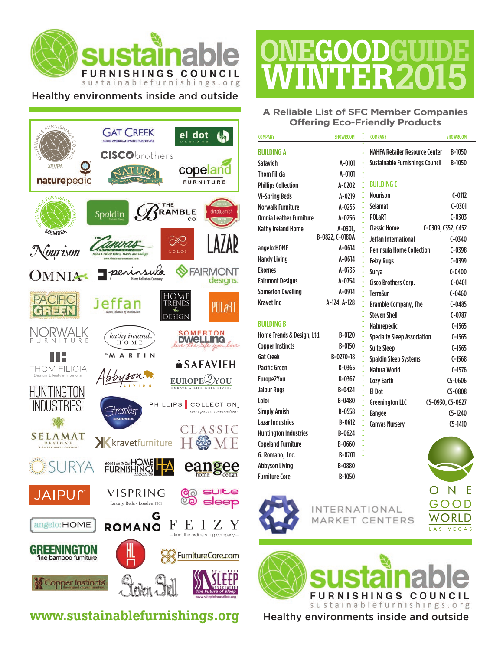

#### Healthy environments inside and outside



#### www.sustainablefurnishings.org Healthy environments inside and outside

# **ONEGOODGUIDE** WINTER2015

#### **A Reliable List of SFC Member Companies Offering Eco-Friendly Products**

| <b>COMPANY</b>                 | <b>SHOWROOM</b> | <b>COMPANY</b>                         | <b>SHOWROOM</b>    |
|--------------------------------|-----------------|----------------------------------------|--------------------|
| <b>BUILDING A</b>              |                 | <b>NAHFA Retailer Resource Center</b>  | B-1050             |
| Safavieh                       | A-0101          | <b>Sustainable Furnishings Council</b> | B-1050             |
| <b>Thom Filicia</b>            | A-0101          |                                        |                    |
| <b>Phillips Collection</b>     | A-0202          | <b>BUILDING C</b>                      |                    |
| <b>Vi-Spring Beds</b>          | A-0219          | <b>Nourison</b>                        | $C-0112$           |
| <b>Norwalk Furniture</b>       | A-0255          | Selamat                                | $C-0301$           |
| <b>Omnia Leather Furniture</b> | A-0256          | <b>POLaRT</b><br>ò.                    | $C - 0303$         |
| Kathy Ireland Home             | A-0301.         | <b>Classic Home</b>                    | C-0309, C352, C452 |
|                                | B-0822, C-0180A | Jeffan International                   | $C - 0340$         |
| angelo:HOME                    | $A - 0614$      | <b>Peninsula Home Collection</b>       | $C - 0398$         |
| <b>Handy Living</b>            | $A - 0614$      | <b>Feizy Rugs</b>                      | $C-0399$           |
| <b>Ekornes</b>                 | A-0735          | Surya                                  | $C - 0400$         |
| <b>Fairmont Designs</b>        | A-0754          | Cisco Brothers Corp.                   | $C - 0401$         |
| <b>Somerton Dwelling</b>       | A-0914          | <b>TerraSur</b>                        | $C - 0460$         |
| <b>Kravet Inc.</b>             | A-124, A-128    | <b>Bramble Company, The</b>            | $C-0485$           |
|                                |                 | <b>Steven Shell</b>                    | $C-0787$           |
| <b>BUILDING B</b>              |                 | Naturepedic                            | $C-1565$           |
| Home Trends & Design, Ltd.     | B-0120          | <b>Specialty Sleep Association</b>     | $C-1565$           |
| <b>Copper Instincts</b>        | B-0150          | <b>Suite Sleep</b>                     | $C-1565$           |
| <b>Gat Creek</b>               | $B-0270-18$     | <b>Spaldin Sleep Systems</b>           | $C-1568$           |
| <b>Pacific Green</b>           | B-0365          | <b>Natura World</b>                    | $C-1576$           |
| Europe2You                     | B-0367          | ò<br><b>Cozy Earth</b>                 | $C5 - 0606$        |
| <b>Jaipur Rugs</b>             | B-0424          | $\bullet$<br><b>El Dot</b>             | $C5 - 0808$        |
| Loloi                          | B-0480          | <b>Greenington LLC</b>                 | C5-0930, C5-0927   |
| <b>Simply Amish</b>            | B-0558          | Eangee                                 | $C5-1240$          |
| <b>Lazar Industries</b>        | $B - 0612$      | <b>Canvas Nursery</b>                  | $C5-1410$          |
| <b>Huntington Industries</b>   | $B-0624$        |                                        |                    |
| <b>Copeland Furniture</b>      | B-0660          |                                        |                    |
| G. Romano, Inc.                | B-0701          |                                        |                    |
| <b>Abbyson Living</b>          | B-0880          |                                        |                    |



Furniture Core B-1050

INTERNATIONAL MARKET CENTERS c.

Е

ח ר

ORL D